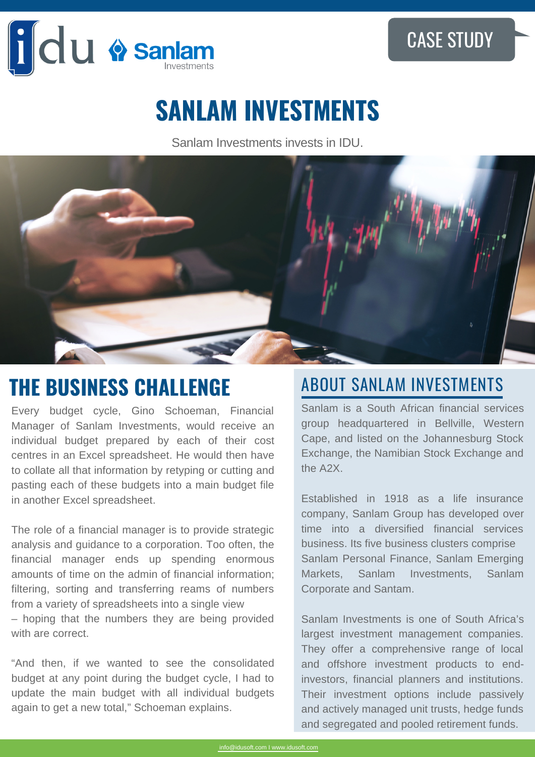

## CASE STUDY

# **SANLAM INVESTMENTS**

Sanlam Investments invests in IDU.



# **THE BUSINESS CHALLENGE ABOUT SANLAM INVESTMENTS**

Every budget cycle, Gino Schoeman, Financial Manager of Sanlam Investments, would receive an individual budget prepared by each of their cost centres in an Excel spreadsheet. He would then have to collate all that information by retyping or cutting and pasting each of these budgets into a main budget file in another Excel spreadsheet.

The role of a financial manager is to provide strategic analysis and guidance to a corporation. Too often, the financial manager ends up spending enormous amounts of time on the admin of financial information; filtering, sorting and transferring reams of numbers from a variety of spreadsheets into a single view – hoping that the numbers they are being provided with are correct.

"And then, if we wanted to see the consolidated budget at any point during the budget cycle, I had to update the main budget with all individual budgets again to get a new total," Schoeman explains.

Sanlam is a South African financial services group headquartered in Bellville, Western Cape, and listed on the Johannesburg Stock Exchange, the Namibian Stock Exchange and the A2X.

Established in 1918 as a life insurance company, Sanlam Group has developed over time into a diversified financial services business. Its five business clusters comprise Sanlam Personal Finance, Sanlam Emerging Markets, Sanlam Investments, Sanlam Corporate and Santam.

Sanlam Investments is one of South Africa's largest investment management companies. They offer a comprehensive range of local and offshore investment products to endinvestors, financial planners and institutions. Their investment options include passively and actively managed unit trusts, hedge funds and segregated and pooled retirement funds.